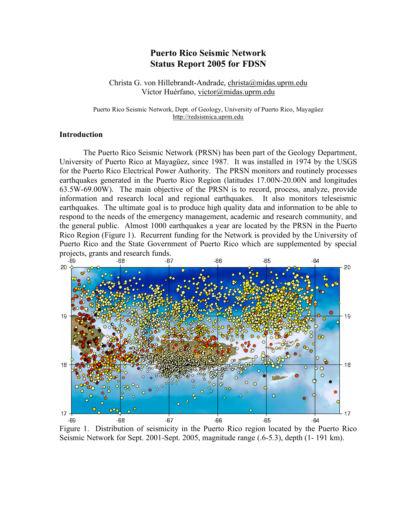# **Puerto Rico Seismic Network Status Report 2005 for FDSN**

Christa G. von Hillebrandt-Andrade, christa@midas.uprm.edu Víctor Huérfano, victor@midas.uprm.edu

Puerto Rico Seismic Network, Dept. of Geology, University of Puerto Rico, Mayagüez http://redsismica.uprm.edu

### **Introduction**

The Puerto Rico Seismic Network (PRSN) has been part of the Geology Department, University of Puerto Rico at Mayagüez, since 1987. It was installed in 1974 by the USGS for the Puerto Rico Electrical Power Authority. The PRSN monitors and routinely processes earthquakes generated in the Puerto Rico Region (latitudes 17.00N-20.00N and longitudes 63.5W-69.00W). The main objective of the PRSN is to record, process, analyze, provide information and research local and regional earthquakes. It also monitors teleseismic earthquakes. The ultimate goal is to produce high quality data and information to be able to respond to the needs of the emergency management, academic and research community, and the general public. Almost 1000 earthquakes a year are located by the PRSN in the Puerto Rico Region (Figure 1). Recurrent funding for the Network is provided by the University of Puerto Rico and the State Government of Puerto Rico which are supplemented by special projects, grants and research funds.



Figure 1. Distribution of seismicity in the Puerto Rico region located by the Puerto Rico Seismic Network for Sept. 2001-Sept. 2005, magnitude range (.6-5.3), depth (1- 191 km).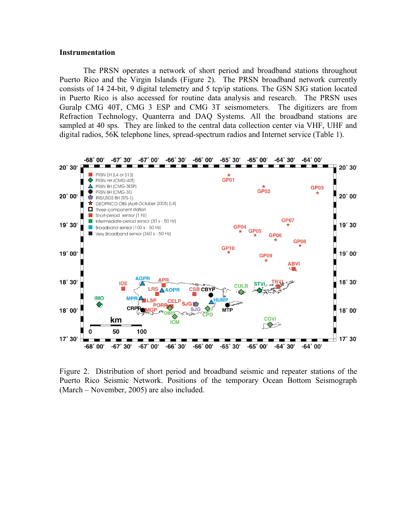#### **Instrumentation**

The PRSN operates a network of short period and broadband stations throughout Puerto Rico and the Virgin Islands (Figure 2). The PRSN broadband network currently consists of 14 24-bit, 9 digital telemetry and 5 tcp/ip stations. The GSN SJG station located in Puerto Rico is also accessed for routine data analysis and research. The PRSN uses Guralp CMG 40T, CMG 3 ESP and CMG 3T seismometers. The digitizers are from Refraction Technology, Quanterra and DAQ Systems. All the broadband stations are sampled at 40 sps. They are linked to the central data collection center via VHF, UHF and digital radios, 56K telephone lines, spread-spectrum radios and Internet service (Table 1).



Figure 2. Distribution of short period and broadband seismic and repeater stations of the Puerto Rico Seismic Network. Positions of the temporary Ocean Bottom Seismograph (March – November, 2005) are also included.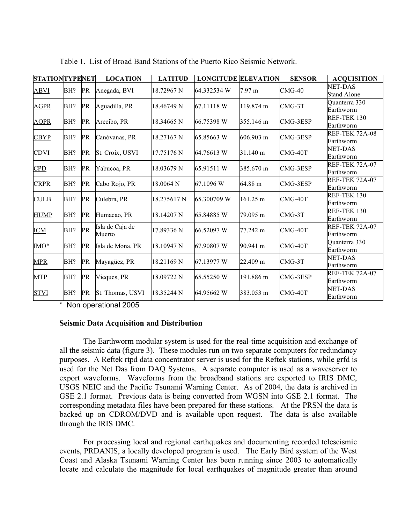| <b>STATIONTYPENET</b> |     |    | <b>LOCATION</b>           | <b>LATITUD</b> | <b>LONGITUDE ELEVATION</b> |                    | <b>SENSOR</b> | <b>ACQUISITION</b>                   |
|-----------------------|-----|----|---------------------------|----------------|----------------------------|--------------------|---------------|--------------------------------------|
| <b>ABVI</b>           | BH? | PR | Anegada, BVI              | 18.72967 N     | 64.332534 W                | $7.97 \text{ m}$   | $CMG-40$      | <b>NET-DAS</b><br><b>Stand Alone</b> |
| <b>AGPR</b>           | BH? | PR | Aguadilla, PR             | 18.46749 N     | 67.11118 W                 | 119.874 m          | $CMG-3T$      | Quanterra 330<br>Earthworm           |
| <b>AOPR</b>           | BH? | PR | Arecibo, PR               | 18.34665 N     | 66.75398 W                 | 355.146 m          | CMG-3ESP      | <b>REF-TEK 130</b><br>Earthworm      |
| <b>CBYP</b>           | BH? | PR | Canóvanas, PR             | 18.27167 N     | 65.85663 W                 | 606.903 m          | CMG-3ESP      | <b>REF-TEK 72A-08</b><br>Earthworm   |
| <b>CDVI</b>           | BH? | PR | St. Croix, USVI           | 17.75176 N     | 64.76613 W                 | 31.140 m           | $CMG-40T$     | <b>NET-DAS</b><br>Earthworm          |
| CPD                   | BH? | PR | Yabucoa, PR               | 18.03679 N     | 65.91511 W                 | 385.670 m          | CMG-3ESP      | <b>REF-TEK 72A-07</b><br>Earthworm   |
| <b>CRPR</b>           | BH? | PR | Cabo Rojo, PR             | 18.0064 N      | 67.1096 W                  | 64.88 m            | CMG-3ESP      | <b>REF-TEK 72A-07</b><br>Earthworm   |
| <b>CULB</b>           | BH? | PR | Culebra, PR               | 18.275617 N    | 65.300709 W                | $161.25 \text{ m}$ | CMG-40T       | <b>REF-TEK 130</b><br>Earthworm      |
| <b>HUMP</b>           | BH? | PR | Humacao, PR               | 18.14207 N     | 65.84885 W                 | 79.095 m           | $CMG-3T$      | REF-TEK 130<br>Earthworm             |
| <b>ICM</b>            | BH? | PR | Isla de Caja de<br>Muerto | 17.89336 N     | 66.52097 W                 | 77.242 m           | $CMG-40T$     | <b>REF-TEK 72A-07</b><br>Earthworm   |
| IMO*                  | BH? | PR | Isla de Mona, PR          | 18.10947 N     | 67.90807 W                 | 90.941 m           | CMG-40T       | Quanterra 330<br>Earthworm           |
| <b>MPR</b>            | BH? | PR | Mayagüez, PR              | 18.21169 N     | 67.13977 W                 | 22.409 m           | $CMG-3T$      | <b>NET-DAS</b><br>Earthworm          |
| <b>MTP</b>            | BH? | PR | Vieques, PR               | 18.09722 N     | 65.55250 W                 | 191.886 m          | CMG-3ESP      | <b>REF-TEK 72A-07</b><br>Earthworm   |
| <b>STVI</b>           | BH? | PR | St. Thomas, USVI          | 18.35244 N     | 64.95662 W                 | 383.053 m          | $CMG-40T$     | <b>NET-DAS</b><br>Earthworm          |

Table 1. List of Broad Band Stations of the Puerto Rico Seismic Network.

\* Non operational 2005

#### **Seismic Data Acquisition and Distribution**

The Earthworm modular system is used for the real-time acquisition and exchange of all the seismic data (figure 3). These modules run on two separate computers for redundancy purposes. A Reftek rtpd data concentrator server is used for the Reftek stations, while grfd is used for the Net Das from DAQ Systems. A separate computer is used as a waveserver to export waveforms. Waveforms from the broadband stations are exported to IRIS DMC, USGS NEIC and the Pacific Tsunami Warning Center. As of 2004, the data is archived in GSE 2.1 format. Previous data is being converted from WGSN into GSE 2.1 format. The corresponding metadata files have been prepared for these stations. At the PRSN the data is backed up on CDROM/DVD and is available upon request. The data is also available through the IRIS DMC.

For processing local and regional earthquakes and documenting recorded teleseismic events, PRDANIS, a locally developed program is used. The Early Bird system of the West Coast and Alaska Tsunami Warning Center has been running since 2003 to automatically locate and calculate the magnitude for local earthquakes of magnitude greater than around